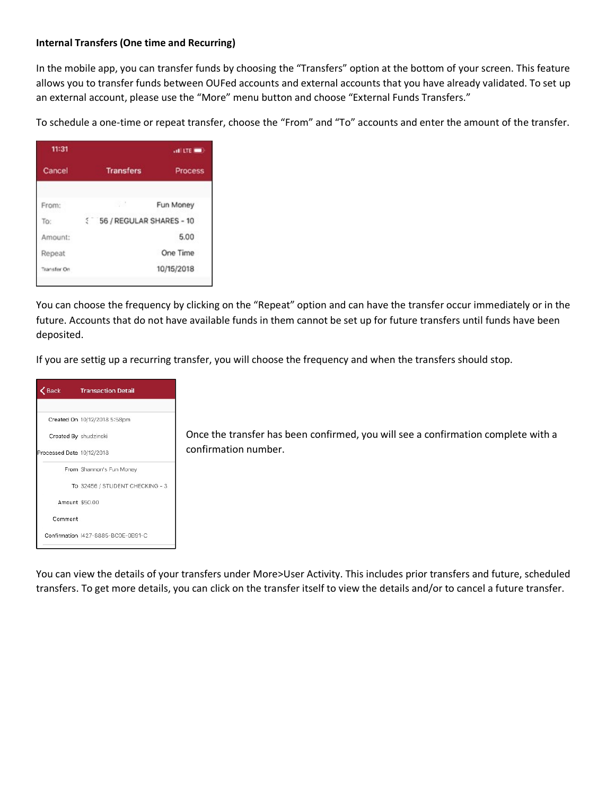## **Internal Transfers (One time and Recurring)**

In the mobile app, you can transfer funds by choosing the "Transfers" option at the bottom of your screen. This feature allows you to transfer funds between OUFed accounts and external accounts that you have already validated. To set up an external account, please use the "More" menu button and choose "External Funds Transfers."

To schedule a one-time or repeat transfer, choose the "From" and "To" accounts and enter the amount of the transfer.

| 11:31       |                                | $  -$          |  |
|-------------|--------------------------------|----------------|--|
| Cancel      | <b>Transfers</b>               | <b>Process</b> |  |
| From:       | P. 3                           | Fun Money      |  |
| To:         | E.<br>56 / REGULAR SHARES - 10 |                |  |
| Amount:     | 5.00                           |                |  |
| Repeat      | One Time                       |                |  |
| Transfer On |                                | 10/15/2018     |  |

You can choose the frequency by clicking on the "Repeat" option and can have the transfer occur immediately or in the future. Accounts that do not have available funds in them cannot be set up for future transfers until funds have been deposited.

If you are settig up a recurring transfer, you will choose the frequency and when the transfers should stop.



You can view the details of your transfers under More>User Activity. This includes prior transfers and future, scheduled transfers. To get more details, you can click on the transfer itself to view the details and/or to cancel a future transfer.